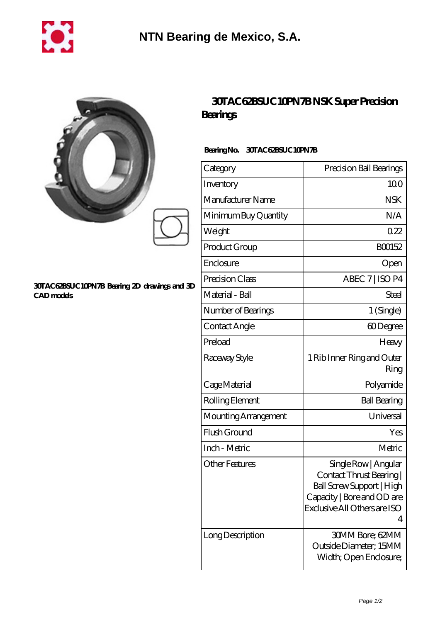

|                                                                   | <b>30TAC62BSUC10PM</b><br>Bearings |
|-------------------------------------------------------------------|------------------------------------|
|                                                                   | BearingNo.<br><b>30TAC62BSUC1</b>  |
|                                                                   | Category                           |
|                                                                   | Inventory                          |
|                                                                   | Manufacturer Name                  |
|                                                                   | Minimum Buy Quantity               |
|                                                                   | Weight                             |
|                                                                   | Product Group                      |
| 30TAC62BSUC10PN7B Bearing 2D drawings and 3D<br><b>CAD</b> models | Enclosure                          |
|                                                                   | Precision Class                    |
|                                                                   | Material - Ball                    |
|                                                                   | Number of Bearings                 |
|                                                                   |                                    |

## **[30TAC62BSUC10PN7B NSK Super Precision](https://www.sharkhomesearch.com/super-precision-bearings/30tac62bsuc10pn7b.html)**

## **10PN7B**

| Category              | Precision Ball Bearings                                                                                                                          |
|-----------------------|--------------------------------------------------------------------------------------------------------------------------------------------------|
| Inventory             | 100                                                                                                                                              |
| Manufacturer Name     | <b>NSK</b>                                                                                                                                       |
| Minimum Buy Quantity  | N/A                                                                                                                                              |
| Weight                | 022                                                                                                                                              |
| Product Group         | BO0152                                                                                                                                           |
| Enclosure             | Open                                                                                                                                             |
| Precision Class       | ABEC 7   ISO P4                                                                                                                                  |
| Material - Ball       | Steel                                                                                                                                            |
| Number of Bearings    | 1 (Single)                                                                                                                                       |
| Contact Angle         | 60Degree                                                                                                                                         |
| Preload               | Heavy                                                                                                                                            |
| Raceway Style         | 1 Rib Inner Ring and Outer<br>Ring                                                                                                               |
| Cage Material         | Polyamide                                                                                                                                        |
| Rolling Element       | <b>Ball Bearing</b>                                                                                                                              |
| Mounting Arrangement  | Universal                                                                                                                                        |
| Flush Ground          | Yes                                                                                                                                              |
| Inch - Metric         | Metric                                                                                                                                           |
| <b>Other Features</b> | Single Row   Angular<br>Contact Thrust Bearing  <br>Ball Screw Support   High<br>Capacity   Bore and OD are<br>Exclusive All Others are ISO<br>4 |
| Long Description      | <b>30MM Bore; 62MM</b><br>Outside Diameter; 15MM<br>Width; Open Enclosure;                                                                       |